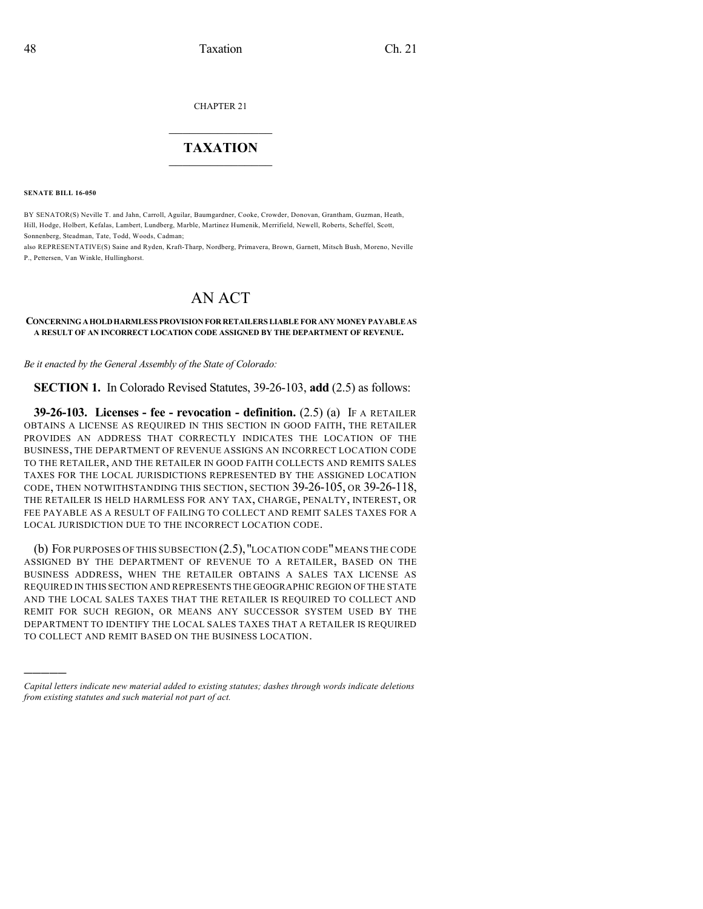CHAPTER 21

## $\mathcal{L}_\text{max}$  . The set of the set of the set of the set of the set of the set of the set of the set of the set of the set of the set of the set of the set of the set of the set of the set of the set of the set of the set **TAXATION**  $\_$

**SENATE BILL 16-050**

)))))

BY SENATOR(S) Neville T. and Jahn, Carroll, Aguilar, Baumgardner, Cooke, Crowder, Donovan, Grantham, Guzman, Heath, Hill, Hodge, Holbert, Kefalas, Lambert, Lundberg, Marble, Martinez Humenik, Merrifield, Newell, Roberts, Scheffel, Scott, Sonnenberg, Steadman, Tate, Todd, Woods, Cadman;

also REPRESENTATIVE(S) Saine and Ryden, Kraft-Tharp, Nordberg, Primavera, Brown, Garnett, Mitsch Bush, Moreno, Neville P., Pettersen, Van Winkle, Hullinghorst.

## AN ACT

## **CONCERNINGAHOLDHARMLESS PROVISION FOR RETAILERS LIABLEFOR ANYMONEYPAYABLEAS A RESULT OF AN INCORRECT LOCATION CODE ASSIGNED BY THE DEPARTMENT OF REVENUE.**

*Be it enacted by the General Assembly of the State of Colorado:*

**SECTION 1.** In Colorado Revised Statutes, 39-26-103, **add** (2.5) as follows:

**39-26-103. Licenses - fee - revocation - definition.** (2.5) (a) IF A RETAILER OBTAINS A LICENSE AS REQUIRED IN THIS SECTION IN GOOD FAITH, THE RETAILER PROVIDES AN ADDRESS THAT CORRECTLY INDICATES THE LOCATION OF THE BUSINESS, THE DEPARTMENT OF REVENUE ASSIGNS AN INCORRECT LOCATION CODE TO THE RETAILER, AND THE RETAILER IN GOOD FAITH COLLECTS AND REMITS SALES TAXES FOR THE LOCAL JURISDICTIONS REPRESENTED BY THE ASSIGNED LOCATION CODE, THEN NOTWITHSTANDING THIS SECTION, SECTION 39-26-105, OR 39-26-118, THE RETAILER IS HELD HARMLESS FOR ANY TAX, CHARGE, PENALTY, INTEREST, OR FEE PAYABLE AS A RESULT OF FAILING TO COLLECT AND REMIT SALES TAXES FOR A LOCAL JURISDICTION DUE TO THE INCORRECT LOCATION CODE.

(b) FOR PURPOSES OF THIS SUBSECTION (2.5),"LOCATION CODE"MEANS THE CODE ASSIGNED BY THE DEPARTMENT OF REVENUE TO A RETAILER, BASED ON THE BUSINESS ADDRESS, WHEN THE RETAILER OBTAINS A SALES TAX LICENSE AS REQUIRED IN THIS SECTION AND REPRESENTS THE GEOGRAPHIC REGION OF THE STATE AND THE LOCAL SALES TAXES THAT THE RETAILER IS REQUIRED TO COLLECT AND REMIT FOR SUCH REGION, OR MEANS ANY SUCCESSOR SYSTEM USED BY THE DEPARTMENT TO IDENTIFY THE LOCAL SALES TAXES THAT A RETAILER IS REQUIRED TO COLLECT AND REMIT BASED ON THE BUSINESS LOCATION.

*Capital letters indicate new material added to existing statutes; dashes through words indicate deletions from existing statutes and such material not part of act.*